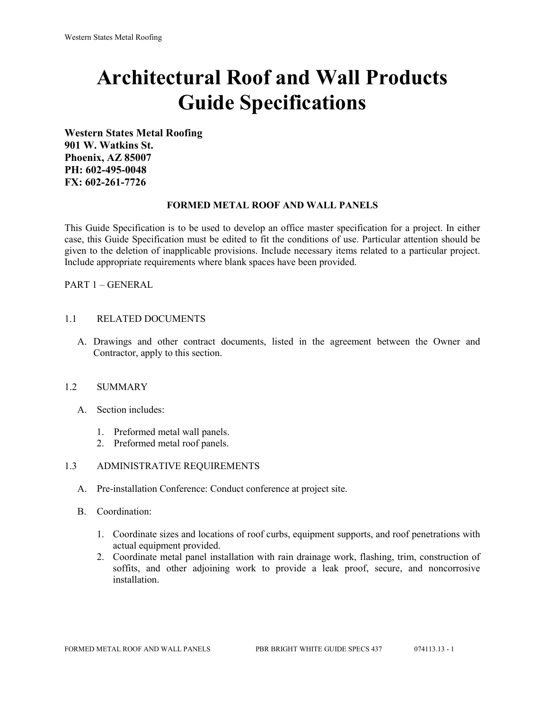# **Architectural Roof and Wall Products Guide Specifications**

**Western States Metal Roofing 901 W. Watkins St. Phoenix, AZ 85007 PH: 602-495-0048 FX: 602-261-7726**

#### **FORMED METAL ROOF AND WALL PANELS**

This Guide Specification is to be used to develop an office master specification for a project. In either case, this Guide Specification must be edited to fit the conditions of use. Particular attention should be given to the deletion of inapplicable provisions. Include necessary items related to a particular project. Include appropriate requirements where blank spaces have been provided.

PART 1 – GENERAL

#### 1.1 RELATED DOCUMENTS

A. Drawings and other contract documents, listed in the agreement between the Owner and Contractor, apply to this section.

#### 1.2 SUMMARY

- A. Section includes:
	- 1. Preformed metal wall panels.
	- 2. Preformed metal roof panels.

#### 1.3 ADMINISTRATIVE REQUIREMENTS

- A. Pre-installation Conference: Conduct conference at project site.
- B. Coordination:
	- 1. Coordinate sizes and locations of roof curbs, equipment supports, and roof penetrations with actual equipment provided.
	- 2. Coordinate metal panel installation with rain drainage work, flashing, trim, construction of soffits, and other adjoining work to provide a leak proof, secure, and noncorrosive installation.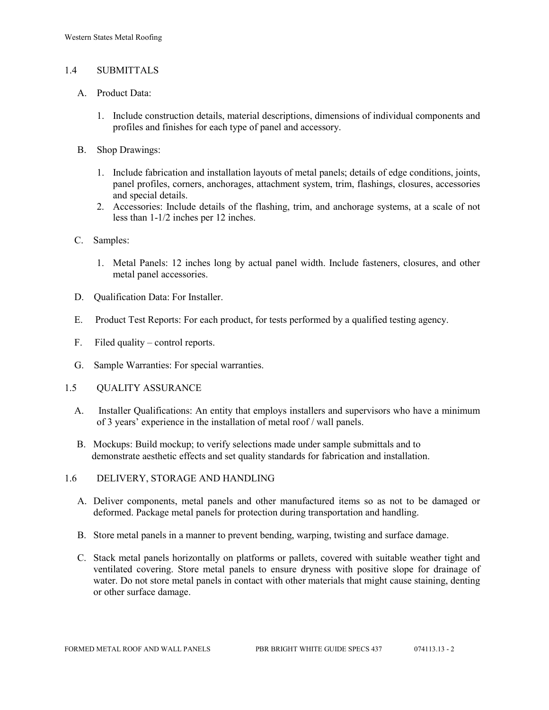## 1.4 SUBMITTALS

- A. Product Data:
	- 1. Include construction details, material descriptions, dimensions of individual components and profiles and finishes for each type of panel and accessory.
- B. Shop Drawings:
	- 1. Include fabrication and installation layouts of metal panels; details of edge conditions, joints, panel profiles, corners, anchorages, attachment system, trim, flashings, closures, accessories and special details.
	- 2. Accessories: Include details of the flashing, trim, and anchorage systems, at a scale of not less than 1-1/2 inches per 12 inches.
- C. Samples:
	- 1. Metal Panels: 12 inches long by actual panel width. Include fasteners, closures, and other metal panel accessories.
- D. Qualification Data: For Installer.
- E. Product Test Reports: For each product, for tests performed by a qualified testing agency.
- F. Filed quality control reports.
- G. Sample Warranties: For special warranties.
- 1.5 QUALITY ASSURANCE
	- A. Installer Qualifications: An entity that employs installers and supervisors who have a minimum of 3 years' experience in the installation of metal roof / wall panels.
	- B. Mockups: Build mockup; to verify selections made under sample submittals and to demonstrate aesthetic effects and set quality standards for fabrication and installation.
- 1.6 DELIVERY, STORAGE AND HANDLING
	- A. Deliver components, metal panels and other manufactured items so as not to be damaged or deformed. Package metal panels for protection during transportation and handling.
	- B. Store metal panels in a manner to prevent bending, warping, twisting and surface damage.
	- C. Stack metal panels horizontally on platforms or pallets, covered with suitable weather tight and ventilated covering. Store metal panels to ensure dryness with positive slope for drainage of water. Do not store metal panels in contact with other materials that might cause staining, denting or other surface damage.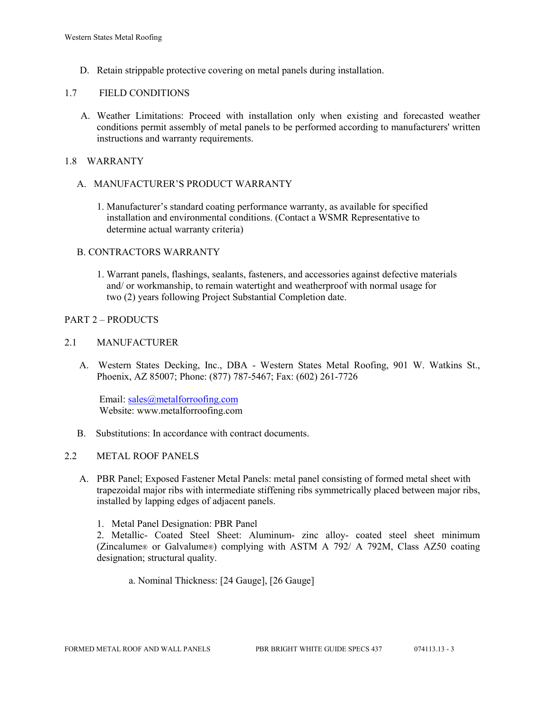D. Retain strippable protective covering on metal panels during installation.

### 1.7 FIELD CONDITIONS

A. Weather Limitations: Proceed with installation only when existing and forecasted weather conditions permit assembly of metal panels to be performed according to manufacturers' written instructions and warranty requirements.

### 1.8 WARRANTY

- A. MANUFACTURER'S PRODUCT WARRANTY
	- 1. Manufacturer's standard coating performance warranty, as available for specified installation and environmental conditions. (Contact a WSMR Representative to determine actual warranty criteria)

## B. CONTRACTORS WARRANTY

1. Warrant panels, flashings, sealants, fasteners, and accessories against defective materials and/ or workmanship, to remain watertight and weatherproof with normal usage for two (2) years following Project Substantial Completion date.

## PART 2 – PRODUCTS

#### 2.1 MANUFACTURER

 A. Western States Decking, Inc., DBA - Western States Metal Roofing, 901 W. Watkins St., Phoenix, AZ 85007; Phone: (877) 787-5467; Fax: (602) 261-7726

Email: [sales@metalforroofing.com](mailto:sales@metalforroofing.com) Website: www.metalforroofing.com

B. Substitutions: In accordance with contract documents.

#### 2.2 METAL ROOF PANELS

A. PBR Panel; Exposed Fastener Metal Panels: metal panel consisting of formed metal sheet with trapezoidal major ribs with intermediate stiffening ribs symmetrically placed between major ribs, installed by lapping edges of adjacent panels.

1. Metal Panel Designation: PBR Panel

2. Metallic- Coated Steel Sheet: Aluminum- zinc alloy- coated steel sheet minimum (Zincalume® or Galvalume®) complying with ASTM A 792/ A 792M, Class AZ50 coating designation; structural quality.

a. Nominal Thickness: [24 Gauge], [26 Gauge]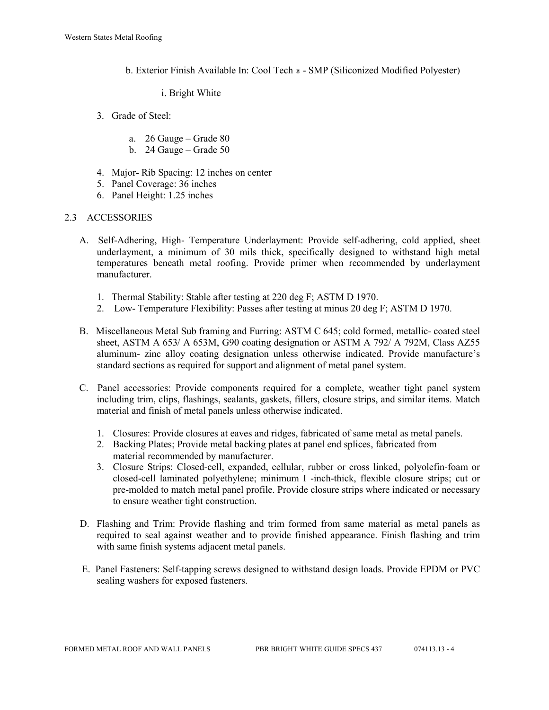b. Exterior Finish Available In: Cool Tech ® - SMP (Siliconized Modified Polyester)

#### i. Bright White

- 3. Grade of Steel:
	- a. 26 Gauge Grade 80
	- b. 24 Gauge Grade 50
- 4. Major- Rib Spacing: 12 inches on center
- 5. Panel Coverage: 36 inches
- 6. Panel Height: 1.25 inches

## 2.3 ACCESSORIES

- A. Self-Adhering, High- Temperature Underlayment: Provide self-adhering, cold applied, sheet underlayment, a minimum of 30 mils thick, specifically designed to withstand high metal temperatures beneath metal roofing. Provide primer when recommended by underlayment manufacturer.
	- 1. Thermal Stability: Stable after testing at 220 deg F; ASTM D 1970.
	- 2. Low- Temperature Flexibility: Passes after testing at minus 20 deg F; ASTM D 1970.
- B. Miscellaneous Metal Sub framing and Furring: ASTM C 645; cold formed, metallic- coated steel sheet, ASTM A 653/ A 653M, G90 coating designation or ASTM A 792/ A 792M, Class AZ55 aluminum- zinc alloy coating designation unless otherwise indicated. Provide manufacture's standard sections as required for support and alignment of metal panel system.
- C. Panel accessories: Provide components required for a complete, weather tight panel system including trim, clips, flashings, sealants, gaskets, fillers, closure strips, and similar items. Match material and finish of metal panels unless otherwise indicated.
	- 1. Closures: Provide closures at eaves and ridges, fabricated of same metal as metal panels.
	- 2. Backing Plates; Provide metal backing plates at panel end splices, fabricated from material recommended by manufacturer.
	- 3. Closure Strips: Closed-cell, expanded, cellular, rubber or cross linked, polyolefin-foam or closed-cell laminated polyethylene; minimum I -inch-thick, flexible closure strips; cut or pre-molded to match metal panel profile. Provide closure strips where indicated or necessary to ensure weather tight construction.
- D. Flashing and Trim: Provide flashing and trim formed from same material as metal panels as required to seal against weather and to provide finished appearance. Finish flashing and trim with same finish systems adjacent metal panels.
- E. Panel Fasteners: Self-tapping screws designed to withstand design loads. Provide EPDM or PVC sealing washers for exposed fasteners.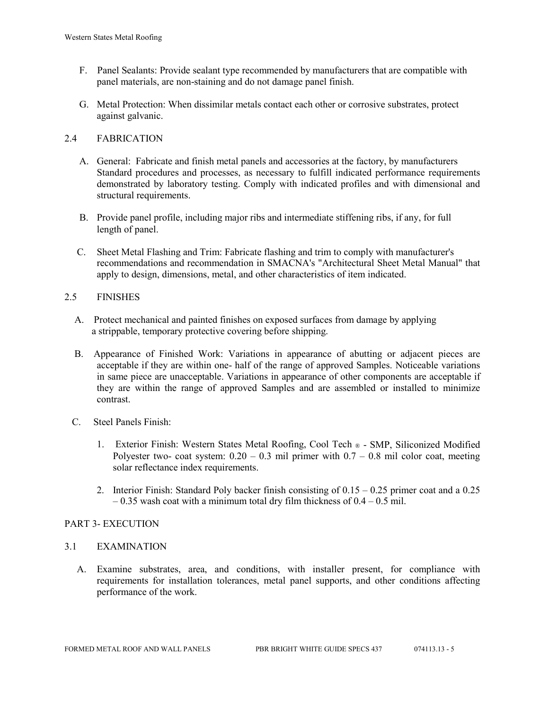- F. Panel Sealants: Provide sealant type recommended by manufacturers that are compatible with panel materials, are non-staining and do not damage panel finish.
- G. Metal Protection: When dissimilar metals contact each other or corrosive substrates, protect against galvanic.

## 2.4 FABRICATION

- A. General: Fabricate and finish metal panels and accessories at the factory, by manufacturers Standard procedures and processes, as necessary to fulfill indicated performance requirements demonstrated by laboratory testing. Comply with indicated profiles and with dimensional and structural requirements.
- B. Provide panel profile, including major ribs and intermediate stiffening ribs, if any, for full length of panel.
- C. Sheet Metal Flashing and Trim: Fabricate flashing and trim to comply with manufacturer's recommendations and recommendation in SMACNA's "Architectural Sheet Metal Manual" that apply to design, dimensions, metal, and other characteristics of item indicated.

## 2.5 FINISHES

- A. Protect mechanical and painted finishes on exposed surfaces from damage by applying a strippable, temporary protective covering before shipping.
- B. Appearance of Finished Work: Variations in appearance of abutting or adjacent pieces are acceptable if they are within one- half of the range of approved Samples. Noticeable variations in same piece are unacceptable. Variations in appearance of other components are acceptable if they are within the range of approved Samples and are assembled or installed to minimize contrast.
- C. Steel Panels Finish:
	- 1. Exterior Finish: Western States Metal Roofing, Cool Tech ® SMP, Siliconized Modified Polyester two- coat system:  $0.20 - 0.3$  mil primer with  $0.7 - 0.8$  mil color coat, meeting solar reflectance index requirements.
	- 2. Interior Finish: Standard Poly backer finish consisting of 0.15 0.25 primer coat and a 0.25  $-0.35$  wash coat with a minimum total dry film thickness of  $0.4 - 0.5$  mil.

## PART 3- EXECUTION

#### 3.1 EXAMINATION

 A. Examine substrates, area, and conditions, with installer present, for compliance with requirements for installation tolerances, metal panel supports, and other conditions affecting performance of the work.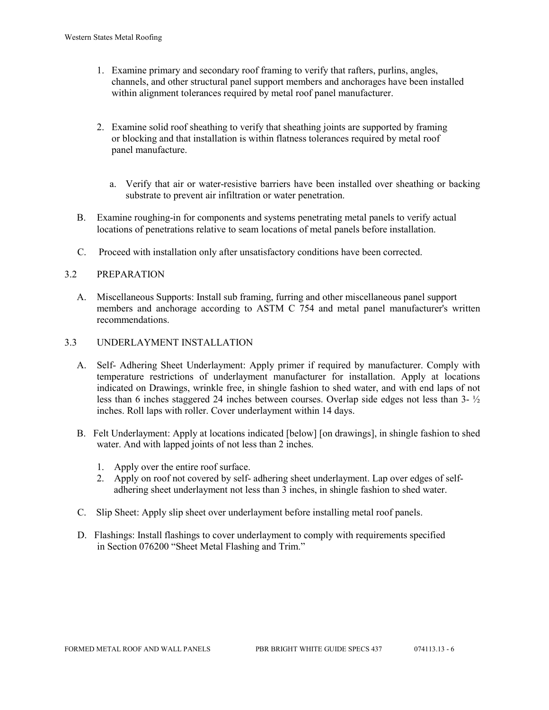- 1. Examine primary and secondary roof framing to verify that rafters, purlins, angles, channels, and other structural panel support members and anchorages have been installed within alignment tolerances required by metal roof panel manufacturer.
- 2. Examine solid roof sheathing to verify that sheathing joints are supported by framing or blocking and that installation is within flatness tolerances required by metal roof panel manufacture.
	- a. Verify that air or water-resistive barriers have been installed over sheathing or backing substrate to prevent air infiltration or water penetration.
- B. Examine roughing-in for components and systems penetrating metal panels to verify actual locations of penetrations relative to seam locations of metal panels before installation.
- C. Proceed with installation only after unsatisfactory conditions have been corrected.

## 3.2 PREPARATION

- A. Miscellaneous Supports: Install sub framing, furring and other miscellaneous panel support members and anchorage according to ASTM C 754 and metal panel manufacturer's written recommendations.
- 3.3 UNDERLAYMENT INSTALLATION
	- A. Self- Adhering Sheet Underlayment: Apply primer if required by manufacturer. Comply with temperature restrictions of underlayment manufacturer for installation. Apply at locations indicated on Drawings, wrinkle free, in shingle fashion to shed water, and with end laps of not less than 6 inches staggered 24 inches between courses. Overlap side edges not less than 3- ½ inches. Roll laps with roller. Cover underlayment within 14 days.
	- B. Felt Underlayment: Apply at locations indicated [below] [on drawings], in shingle fashion to shed water. And with lapped joints of not less than 2 inches.
		- 1. Apply over the entire roof surface.
		- 2. Apply on roof not covered by self- adhering sheet underlayment. Lap over edges of self adhering sheet underlayment not less than 3 inches, in shingle fashion to shed water.
	- C. Slip Sheet: Apply slip sheet over underlayment before installing metal roof panels.
	- D. Flashings: Install flashings to cover underlayment to comply with requirements specified in Section 076200 "Sheet Metal Flashing and Trim."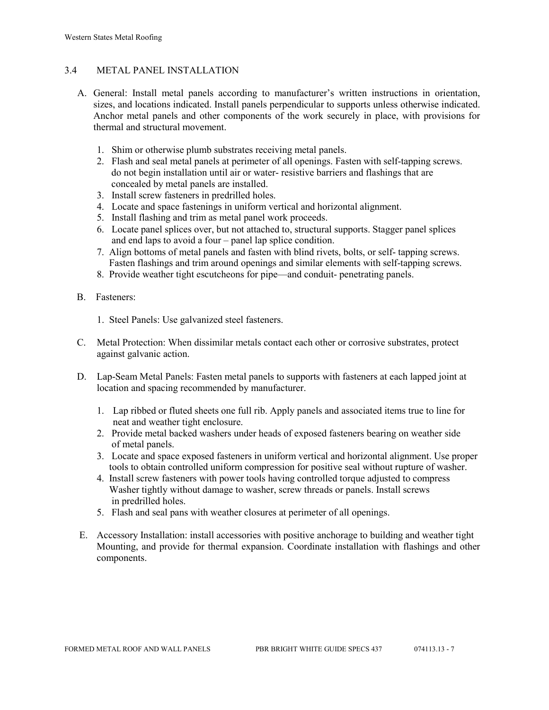## 3.4 METAL PANEL INSTALLATION

- A. General: Install metal panels according to manufacturer's written instructions in orientation, sizes, and locations indicated. Install panels perpendicular to supports unless otherwise indicated. Anchor metal panels and other components of the work securely in place, with provisions for thermal and structural movement.
	- 1. Shim or otherwise plumb substrates receiving metal panels.
	- 2. Flash and seal metal panels at perimeter of all openings. Fasten with self-tapping screws. do not begin installation until air or water- resistive barriers and flashings that are concealed by metal panels are installed.
	- 3. Install screw fasteners in predrilled holes.
	- 4. Locate and space fastenings in uniform vertical and horizontal alignment.
	- 5. Install flashing and trim as metal panel work proceeds.
	- 6. Locate panel splices over, but not attached to, structural supports. Stagger panel splices and end laps to avoid a four – panel lap splice condition.
	- 7. Align bottoms of metal panels and fasten with blind rivets, bolts, or self- tapping screws. Fasten flashings and trim around openings and similar elements with self-tapping screws.
	- 8. Provide weather tight escutcheons for pipe—and conduit- penetrating panels.
- B. Fasteners:
	- 1. Steel Panels: Use galvanized steel fasteners.
- C. Metal Protection: When dissimilar metals contact each other or corrosive substrates, protect against galvanic action.
- D. Lap-Seam Metal Panels: Fasten metal panels to supports with fasteners at each lapped joint at location and spacing recommended by manufacturer.
	- 1. Lap ribbed or fluted sheets one full rib. Apply panels and associated items true to line for neat and weather tight enclosure.
	- 2. Provide metal backed washers under heads of exposed fasteners bearing on weather side of metal panels.
	- 3. Locate and space exposed fasteners in uniform vertical and horizontal alignment. Use proper tools to obtain controlled uniform compression for positive seal without rupture of washer.
	- 4. Install screw fasteners with power tools having controlled torque adjusted to compress Washer tightly without damage to washer, screw threads or panels. Install screws in predrilled holes.
	- 5. Flash and seal pans with weather closures at perimeter of all openings.
- E. Accessory Installation: install accessories with positive anchorage to building and weather tight Mounting, and provide for thermal expansion. Coordinate installation with flashings and other components.